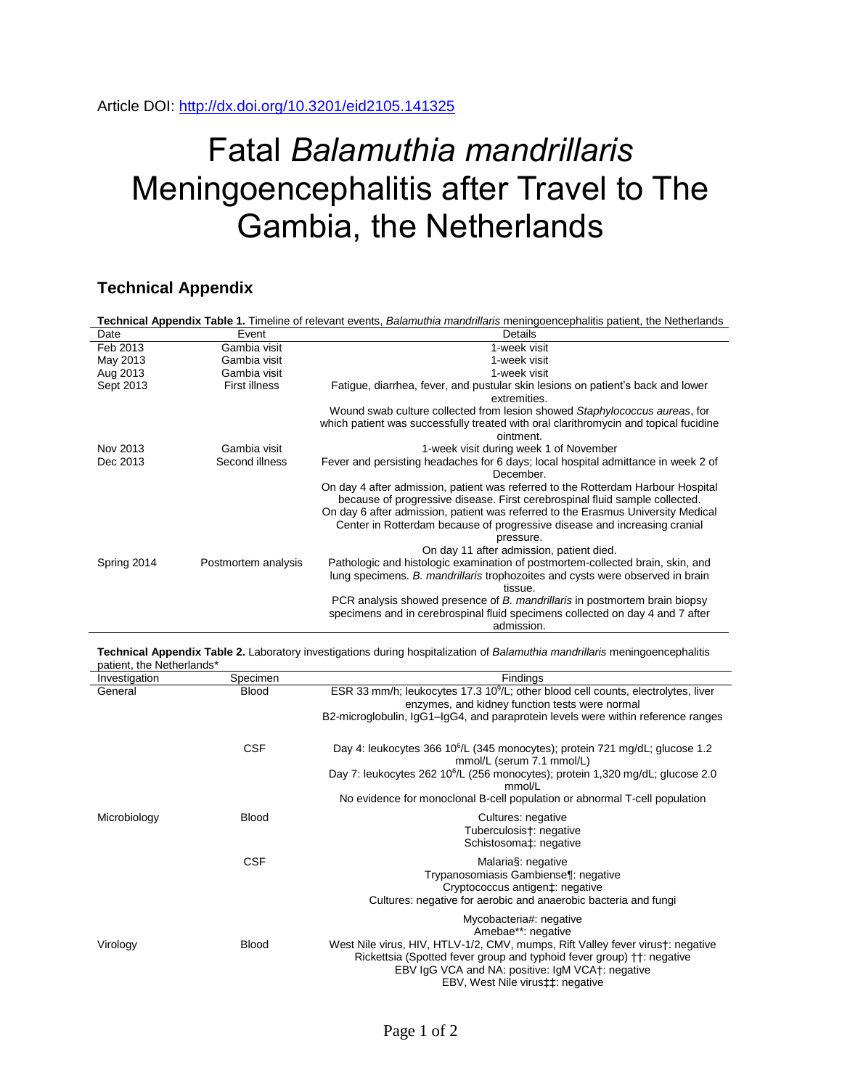## Article DOI:<http://dx.doi.org/10.3201/eid2105.141325>

## Fatal *Balamuthia mandrillaris* Meningoencephalitis after Travel to The Gambia, the Netherlands

## **Technical Appendix**

| Technical Appendix Table 1. Timeline of relevant events, Balamuthia mandrillaris meningoencephalitis patient, the Netherlands |                      |                                                                                                                                                                                                                                                                                                                                                                                           |  |  |
|-------------------------------------------------------------------------------------------------------------------------------|----------------------|-------------------------------------------------------------------------------------------------------------------------------------------------------------------------------------------------------------------------------------------------------------------------------------------------------------------------------------------------------------------------------------------|--|--|
| Date                                                                                                                          | Event                | Details                                                                                                                                                                                                                                                                                                                                                                                   |  |  |
| Feb 2013                                                                                                                      | Gambia visit         | 1-week visit                                                                                                                                                                                                                                                                                                                                                                              |  |  |
| May 2013                                                                                                                      | Gambia visit         | 1-week visit                                                                                                                                                                                                                                                                                                                                                                              |  |  |
| Aug 2013                                                                                                                      | Gambia visit         | 1-week visit                                                                                                                                                                                                                                                                                                                                                                              |  |  |
| Sept 2013                                                                                                                     | <b>First illness</b> | Fatigue, diarrhea, fever, and pustular skin lesions on patient's back and lower<br>extremities.                                                                                                                                                                                                                                                                                           |  |  |
|                                                                                                                               |                      | Wound swab culture collected from lesion showed Staphylococcus aureas, for<br>which patient was successfully treated with oral clarithromycin and topical fucidine<br>ointment.                                                                                                                                                                                                           |  |  |
| Nov 2013                                                                                                                      | Gambia visit         | 1-week visit during week 1 of November                                                                                                                                                                                                                                                                                                                                                    |  |  |
| Dec 2013                                                                                                                      | Second illness       | Fever and persisting headaches for 6 days; local hospital admittance in week 2 of<br>December.                                                                                                                                                                                                                                                                                            |  |  |
|                                                                                                                               |                      | On day 4 after admission, patient was referred to the Rotterdam Harbour Hospital<br>because of progressive disease. First cerebrospinal fluid sample collected.<br>On day 6 after admission, patient was referred to the Erasmus University Medical<br>Center in Rotterdam because of progressive disease and increasing cranial<br>pressure.<br>On day 11 after admission, patient died. |  |  |
| Spring 2014                                                                                                                   | Postmortem analysis  | Pathologic and histologic examination of postmortem-collected brain, skin, and<br>lung specimens. B. mandrillaris trophozoites and cysts were observed in brain<br>tissue.                                                                                                                                                                                                                |  |  |
|                                                                                                                               |                      | PCR analysis showed presence of B. mandrillaris in postmortem brain biopsy<br>specimens and in cerebrospinal fluid specimens collected on day 4 and 7 after<br>admission.                                                                                                                                                                                                                 |  |  |

**Technical Appendix Table 2.** Laboratory investigations during hospitalization of *Balamuthia mandrillaris* meningoencephalitis patient, the Netherlands\*

| Investigation | Specimen     | Findings                                                                                                                                                                                                                                         |
|---------------|--------------|--------------------------------------------------------------------------------------------------------------------------------------------------------------------------------------------------------------------------------------------------|
| General       | <b>Blood</b> | ESR 33 mm/h; leukocytes 17.3 10 <sup>9</sup> /L; other blood cell counts, electrolytes, liver<br>enzymes, and kidney function tests were normal                                                                                                  |
|               |              | B2-microglobulin, IgG1-IgG4, and paraprotein levels were within reference ranges                                                                                                                                                                 |
|               | <b>CSF</b>   | Day 4: leukocytes 366 10 <sup>6</sup> /L (345 monocytes); protein 721 mg/dL; glucose 1.2<br>mmol/L (serum 7.1 mmol/L)                                                                                                                            |
|               |              | Day 7: leukocytes 262 10 <sup>6</sup> /L (256 monocytes); protein 1,320 mg/dL; glucose 2.0<br>mmol/L                                                                                                                                             |
|               |              | No evidence for monoclonal B-cell population or abnormal T-cell population                                                                                                                                                                       |
| Microbiology  | <b>Blood</b> | Cultures: negative                                                                                                                                                                                                                               |
|               |              | Tuberculosis†: negative<br>Schistosoma‡: negative                                                                                                                                                                                                |
|               | <b>CSF</b>   | Malaria§: negative<br>Trypanosomiasis Gambiense¶: negative<br>Cryptococcus antigen‡: negative                                                                                                                                                    |
|               |              | Cultures: negative for aerobic and anaerobic bacteria and fungi                                                                                                                                                                                  |
|               |              | Mycobacteria#: negative<br>Amebae**: negative                                                                                                                                                                                                    |
| Virology      | <b>Blood</b> | West Nile virus, HIV, HTLV-1/2, CMV, mumps, Rift Valley fever virus†: negative<br>Rickettsia (Spotted fever group and typhoid fever group) † †: negative<br>EBV IgG VCA and NA: positive: IgM VCA+: negative<br>EBV, West Nile virus‡‡: negative |